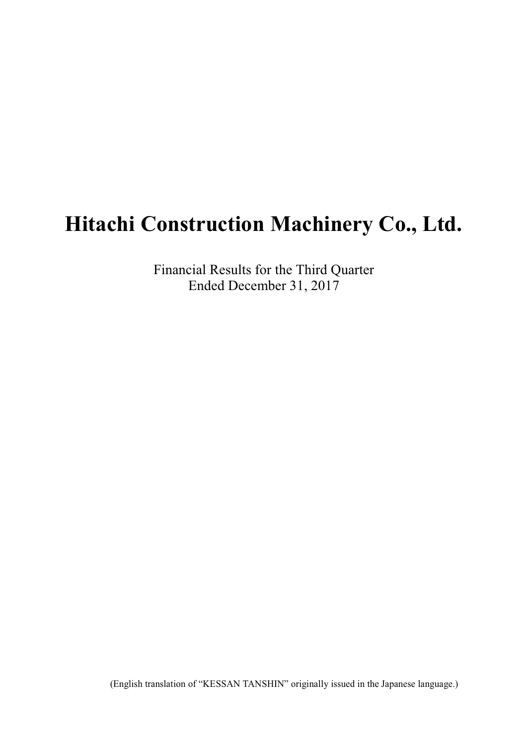# **Hitachi Construction Machinery Co., Ltd.**

Financial Results for the Third Quarter Ended December 31, 2017

(English translation of "KESSAN TANSHIN" originally issued in the Japanese language.)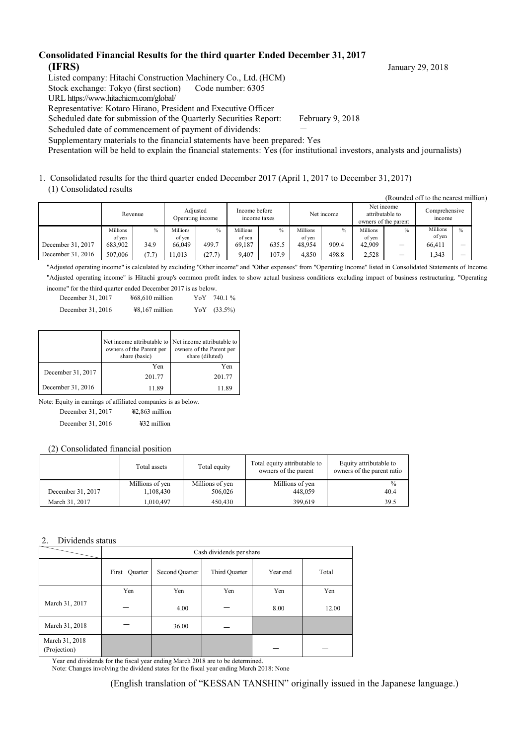#### **Consolidated Financial Results for the third quarter Ended December 31, 2017 (IFRS)** January 29, 2018

Listed company: Hitachi Construction Machinery Co., Ltd. (HCM)

Stock exchange: Tokyo (first section) Code number: 6305

URL https://www.hitachicm.com/global/

Representative: Kotaro Hirano, President and Executive Officer

Scheduled date for submission of the Quarterly Securities Report: February 9, 2018

Scheduled date of commencement of payment of dividends:

Supplementary materials to the financial statements have been prepared: Yes

Presentation will be held to explain the financial statements: Yes (for institutional investors, analysts and journalists)

1. Consolidated results for the third quarter ended December 2017 (April 1, 2017 to December 31, 2017) (1) Consolidated results

|                   | Revenue  |      |          | Adiusted<br>Operating income | Income before<br>income taxes |               | Net income |       | Net income<br>attributable to<br>owners of the parent |               | Comprehensive<br>mcome |                          |
|-------------------|----------|------|----------|------------------------------|-------------------------------|---------------|------------|-------|-------------------------------------------------------|---------------|------------------------|--------------------------|
|                   | Millions | $\%$ | Millions | $\frac{0}{0}$                | Millions                      | $\frac{0}{0}$ | Millions   | $\%$  | Millions                                              | $\frac{0}{0}$ | Millions               | $\frac{0}{0}$            |
|                   | of ven   |      | of ven   |                              | of ven                        |               | of ven     |       | of yen                                                |               | of yen                 |                          |
| December 31, 2017 | 683.902  | 34.9 | 66,049   | 499.7                        | 69.187                        | 635.5         | 48.954     | 909.4 | 42.909                                                | -             | 66.411                 | $\overline{\phantom{a}}$ |
| December 31, 2016 | 507,006  | 7.7. | 1.013    | (27.7)                       | 9.407                         | 107.9         | 4.850      | 498.8 | 2,528                                                 | –             | .343                   |                          |

"Adjusted operating income" is calculated by excluding "Other income" and "Other expenses" from "Operating Income" listed in Consolidated Statements of Income. "Adjusted operating income" is Hitachi group's common profit index to show actual business conditions excluding impact of business restructuring. "Operating income" for the third quarter ended December 2017 is as below.

| December 31, 2017 | $468,610$ million | YoY | 740.1%         |
|-------------------|-------------------|-----|----------------|
| December 31, 2016 | $48,167$ million  |     | YoY $(33.5\%)$ |

|                   | Net income attributable to Net income attributable to<br>owners of the Parent per<br>share (basic) | owners of the Parent per<br>share (diluted) |  |
|-------------------|----------------------------------------------------------------------------------------------------|---------------------------------------------|--|
|                   | Yen                                                                                                | Yen                                         |  |
| December 31, 2017 | 201.77                                                                                             | 201.77                                      |  |
| December 31, 2016 | 11.89                                                                                              | 11.89                                       |  |

Note: Equity in earnings of affiliated companies is as below.

December 31, 2017 ¥2,863 million

December 31, 2016 ¥32 million

(2) Consolidated financial position

|                   | Total assets    | Total equity    | Total equity attributable to<br>owners of the parent | Equity attributable to<br>owners of the parent ratio |
|-------------------|-----------------|-----------------|------------------------------------------------------|------------------------------------------------------|
|                   | Millions of yen | Millions of yen | Millions of yen                                      | $\frac{0}{0}$                                        |
| December 31, 2017 | 1,108,430       | 506,026         | 448,059                                              | 40.4                                                 |
| March 31, 2017    | 1.010.497       | 450,430         | 399.619                                              | 39.5                                                 |

#### Dividends status

|                                |                  |                | Cash dividends per share |          |       |
|--------------------------------|------------------|----------------|--------------------------|----------|-------|
|                                | Quarter<br>First | Second Quarter | Third Quarter            | Year end | Total |
|                                | Yen              | Yen            | Yen                      | Yen      | Yen   |
| March 31, 2017                 |                  | 4.00           |                          | 8.00     | 12.00 |
| March 31, 2018                 |                  | 36.00          |                          |          |       |
| March 31, 2018<br>(Projection) |                  |                |                          |          |       |

Year end dividends for the fiscal year ending March 2018 are to be determined. Note: Changes involving the dividend states for the fiscal year ending March 2018: None

(Rounded off to the nearest million)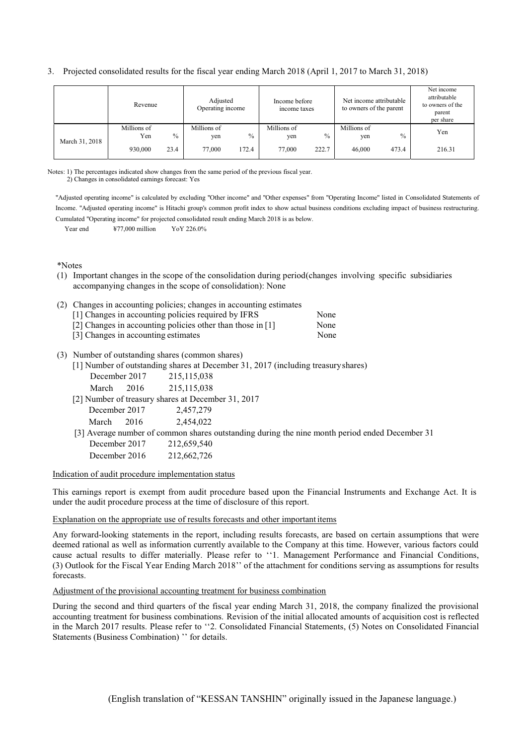3. Projected consolidated results for the fiscal year ending March 2018 (April 1, 2017 to March 31, 2018)

|                | Revenue            |      | Adjusted<br>Operating income |       | Income before<br>income taxes |               | Net income attributable<br>to owners of the parent |               | Net income<br>attributable<br>to owners of the<br>parent<br>per share |
|----------------|--------------------|------|------------------------------|-------|-------------------------------|---------------|----------------------------------------------------|---------------|-----------------------------------------------------------------------|
|                | Millions of<br>Yen | $\%$ | Millions of<br>yen           | $\%$  | Millions of<br>yen            | $\frac{0}{0}$ | Millions of<br>yen                                 | $\frac{0}{0}$ | Yen                                                                   |
| March 31, 2018 | 930,000            | 23.4 | 77,000                       | 172.4 | 77,000                        | 222.7         | 46,000                                             | 473.4         | 216.31                                                                |

Notes: 1) The percentages indicated show changes from the same period of the previous fiscal year. 2) Changes in consolidated earnings forecast: Yes

"Adjusted operating income" is calculated by excluding "Other income" and "Other expenses" from "Operating Income" listed in Consolidated Statements of Income. "Adjusted operating income" is Hitachi group's common profit index to show actual business conditions excluding impact of business restructuring. Cumulated "Operating income" for projected consolidated result ending March 2018 is as below.

Year end  $\frac{477,000 \text{ million}}{4}$  Yo Y 226.0%

\*Notes

(1) Important changes in the scope of the consolidation during period(changes involving specific subsidiaries accompanying changes in the scope of consolidation): None

| (2) Changes in accounting policies; changes in accounting estimates |      |
|---------------------------------------------------------------------|------|
| [1] Changes in accounting policies required by IFRS                 | None |
| [2] Changes in accounting policies other than those in [1]          | None |
| [3] Changes in accounting estimates                                 | None |
|                                                                     |      |

#### (3) Number of outstanding shares (common shares)

|               | [1] Number of outstanding shares at December 31, 2017 (including treasury shares)              |
|---------------|------------------------------------------------------------------------------------------------|
| December 2017 | 215, 115, 038                                                                                  |
| 2016<br>March | 215, 115, 038                                                                                  |
|               | [2] Number of treasury shares at December 31, 2017                                             |
| December 2017 | 2,457,279                                                                                      |
| 2016<br>March | 2,454,022                                                                                      |
|               | [3] Average number of common shares outstanding during the nine month period ended December 31 |
| December 2017 | 212,659,540                                                                                    |
| December 2016 | 212,662,726                                                                                    |
|               |                                                                                                |

#### Indication of audit procedure implementation status

This earnings report is exempt from audit procedure based upon the Financial Instruments and Exchange Act. It is under the audit procedure process at the time of disclosure of this report.

#### Explanation on the appropriate use of results forecasts and other important items

Any forward-looking statements in the report, including results forecasts, are based on certain assumptions that were deemed rational as well as information currently available to the Company at this time. However, various factors could cause actual results to differ materially. Please refer to ''1. Management Performance and Financial Conditions, (3) Outlook for the Fiscal Year Ending March 2018'' of the attachment for conditions serving as assumptions for results forecasts.

#### Adjustment of the provisional accounting treatment for business combination

During the second and third quarters of the fiscal year ending March 31, 2018, the company finalized the provisional accounting treatment for business combinations. Revision of the initial allocated amounts of acquisition cost is reflected in the March 2017 results. Please refer to ''2. Consolidated Financial Statements, (5) Notes on Consolidated Financial Statements (Business Combination) '' for details.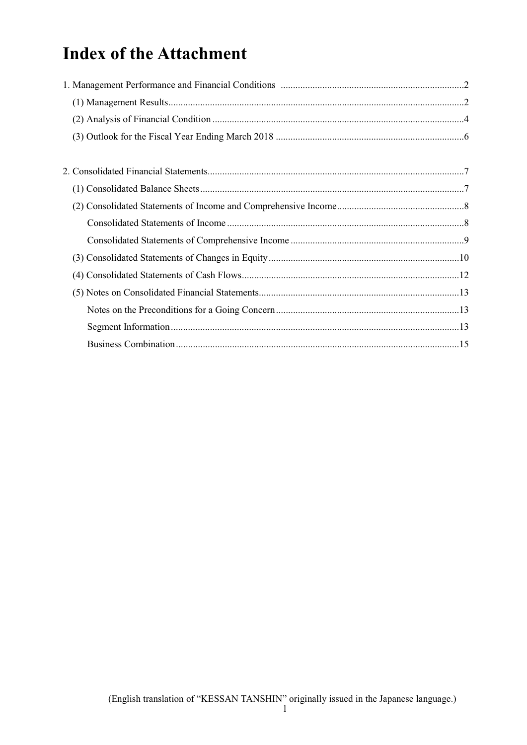# **Index of the Attachment**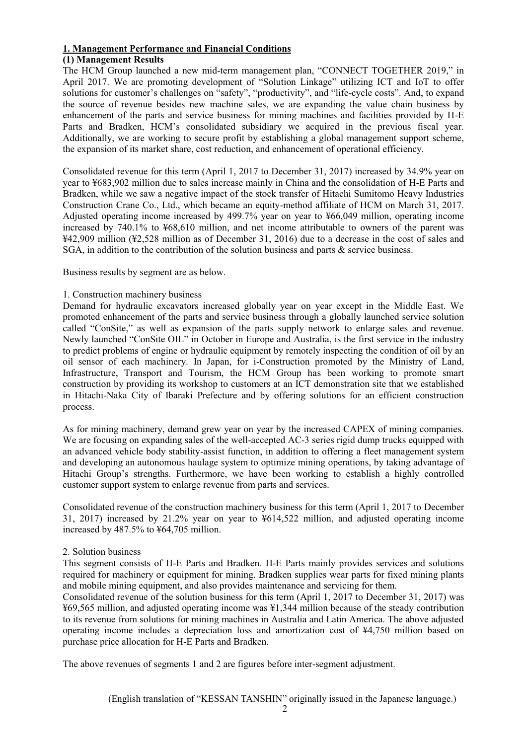#### **1. Management Performance and Financial Conditions**

#### **(1) Management Results**

The HCM Group launched a new mid-term management plan, "CONNECT TOGETHER 2019," in April 2017. We are promoting development of "Solution Linkage" utilizing ICT and IoT to offer solutions for customer's challenges on "safety", "productivity", and "life-cycle costs". And, to expand the source of revenue besides new machine sales, we are expanding the value chain business by enhancement of the parts and service business for mining machines and facilities provided by H-E Parts and Bradken, HCM's consolidated subsidiary we acquired in the previous fiscal year. Additionally, we are working to secure profit by establishing a global management support scheme, the expansion of its market share, cost reduction, and enhancement of operational efficiency.

Consolidated revenue for this term (April 1, 2017 to December 31, 2017) increased by 34.9% year on year to ¥683,902 million due to sales increase mainly in China and the consolidation of H-E Parts and Bradken, while we saw a negative impact of the stock transfer of Hitachi Sumitomo Heavy Industries Construction Crane Co., Ltd., which became an equity-method affiliate of HCM on March 31, 2017. Adjusted operating income increased by 499.7% year on year to ¥66,049 million, operating income increased by 740.1% to ¥68,610 million, and net income attributable to owners of the parent was ¥42,909 million (¥2,528 million as of December 31, 2016) due to a decrease in the cost of sales and SGA, in addition to the contribution of the solution business and parts & service business.

Business results by segment are as below.

#### 1. Construction machinery business

Demand for hydraulic excavators increased globally year on year except in the Middle East. We promoted enhancement of the parts and service business through a globally launched service solution called "ConSite," as well as expansion of the parts supply network to enlarge sales and revenue. Newly launched "ConSite OIL" in October in Europe and Australia, is the first service in the industry to predict problems of engine or hydraulic equipment by remotely inspecting the condition of oil by an oil sensor of each machinery. In Japan, for i-Construction promoted by the Ministry of Land, Infrastructure, Transport and Tourism, the HCM Group has been working to promote smart construction by providing its workshop to customers at an ICT demonstration site that we established in Hitachi-Naka City of Ibaraki Prefecture and by offering solutions for an efficient construction process.

As for mining machinery, demand grew year on year by the increased CAPEX of mining companies. We are focusing on expanding sales of the well-accepted AC-3 series rigid dump trucks equipped with an advanced vehicle body stability-assist function, in addition to offering a fleet management system and developing an autonomous haulage system to optimize mining operations, by taking advantage of Hitachi Group's strengths. Furthermore, we have been working to establish a highly controlled customer support system to enlarge revenue from parts and services.

Consolidated revenue of the construction machinery business for this term (April 1, 2017 to December 31, 2017) increased by 21.2% year on year to ¥614,522 million, and adjusted operating income increased by 487.5% to ¥64,705 million.

#### 2. Solution business

This segment consists of H-E Parts and Bradken. H-E Parts mainly provides services and solutions required for machinery or equipment for mining. Bradken supplies wear parts for fixed mining plants and mobile mining equipment, and also provides maintenance and servicing for them.

Consolidated revenue of the solution business for this term (April 1, 2017 to December 31, 2017) was ¥69,565 million, and adjusted operating income was ¥1,344 million because of the steady contribution to its revenue from solutions for mining machines in Australia and Latin America. The above adjusted operating income includes a depreciation loss and amortization cost of ¥4,750 million based on purchase price allocation for H-E Parts and Bradken.

The above revenues of segments 1 and 2 are figures before inter-segment adjustment.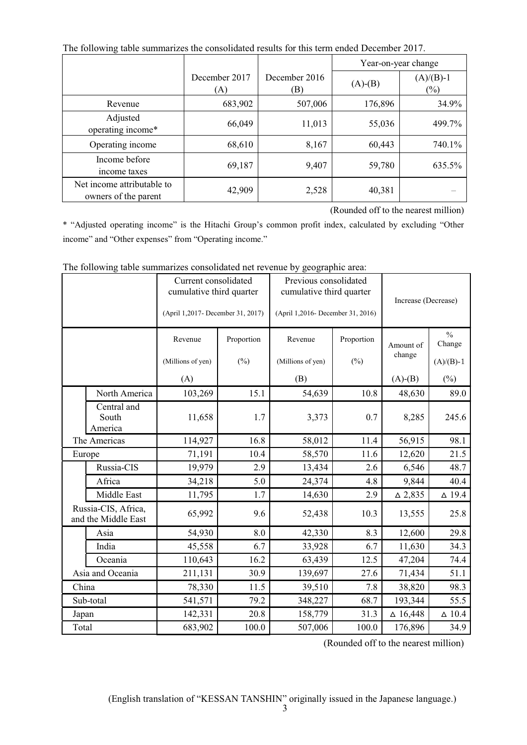| The following table summarizes the consolidated results for this term ended December 2017. |                      |                     |               |                       |  |  |  |
|--------------------------------------------------------------------------------------------|----------------------|---------------------|---------------|-----------------------|--|--|--|
|                                                                                            |                      |                     |               | Year-on-year change   |  |  |  |
|                                                                                            | December 2017<br>(A) | December 2016<br>B) | $(A)$ - $(B)$ | $(A)/(B)-1$<br>$(\%)$ |  |  |  |
| Revenue                                                                                    | 683,902              | 507,006             | 176,896       | 34.9%                 |  |  |  |
| Adjusted<br>operating income*                                                              | 66,049               | 11,013              | 55,036        | 499.7%                |  |  |  |
| Operating income                                                                           | 68,610               | 8,167               | 60,443        | 740.1%                |  |  |  |
| Income before<br>income taxes                                                              | 69,187               | 9,407               | 59,780        | 635.5%                |  |  |  |
| Net income attributable to<br>owners of the parent                                         | 42,909               | 2,528               | 40,381        |                       |  |  |  |

The following table summarizes the consolidated results for this term ended December 2017.

(Rounded off to the nearest million)

\* "Adjusted operating income" is the Hitachi Group's common profit index, calculated by excluding "Other income" and "Other expenses" from "Operating income."

|                  |                                            | Current consolidated<br>cumulative third quarter |            | Previous consolidated<br>cumulative third quarter |            | Increase (Decrease) |                         |  |
|------------------|--------------------------------------------|--------------------------------------------------|------------|---------------------------------------------------|------------|---------------------|-------------------------|--|
|                  |                                            | (April 1,2017- December 31, 2017)                |            | (April 1,2016- December 31, 2016)                 |            |                     |                         |  |
|                  |                                            | Revenue                                          | Proportion | Revenue                                           | Proportion | Amount of           | $\frac{0}{0}$<br>Change |  |
|                  |                                            | (Millions of yen)                                | $(\%)$     | (Millions of yen)                                 | $(\%)$     | change              | $(A)/(B)-1$             |  |
|                  |                                            | (A)                                              |            | (B)                                               |            | $(A)-(B)$           | $(\%)$                  |  |
|                  | North America                              | 103,269                                          | 15.1       | 54,639                                            | 10.8       | 48,630              | 89.0                    |  |
|                  | Central and<br>South<br>America            | 11,658                                           | 1.7        | 3,373                                             | 0.7        | 8,285               | 245.6                   |  |
|                  | The Americas                               | 114,927                                          | 16.8       | 58,012                                            | 11.4       | 56,915              | 98.1                    |  |
|                  | Europe                                     | 71,191                                           | 10.4       | 58,570                                            | 11.6       | 12,620              | 21.5                    |  |
|                  | Russia-CIS                                 | 19,979                                           | 2.9        | 13,434                                            | 2.6        | 6,546               | 48.7                    |  |
|                  | Africa                                     | 34,218                                           | 5.0        | 24,374                                            | 4.8        | 9,844               | 40.4                    |  |
|                  | Middle East                                | 11,795                                           | 1.7        | 14,630                                            | 2.9        | $\triangle 2,835$   | $\Delta$ 19.4           |  |
|                  | Russia-CIS, Africa,<br>and the Middle East | 65,992                                           | 9.6        | 52,438                                            | 10.3       | 13,555              | 25.8                    |  |
|                  | Asia                                       | 54,930                                           | 8.0        | 42,330                                            | 8.3        | 12,600              | 29.8                    |  |
|                  | India                                      | 45,558                                           | 6.7        | 33,928                                            | 6.7        | 11,630              | 34.3                    |  |
|                  | Oceania                                    | 110,643                                          | 16.2       | 63,439                                            | 12.5       | 47,204              | 74.4                    |  |
| Asia and Oceania |                                            | 211,131                                          | 30.9       | 139,697                                           | 27.6       | 71,434              | 51.1                    |  |
| China            |                                            | 78,330                                           | 11.5       | 39,510                                            | 7.8        | 38,820              | 98.3                    |  |
|                  | Sub-total                                  | 541,571                                          | 79.2       | 348,227                                           | 68.7       | 193,344             | 55.5                    |  |
| Japan            |                                            | 142,331                                          | 20.8       | 158,779                                           | 31.3       | $\Delta$ 16,448     | $\Delta$ 10.4           |  |
| Total            |                                            | 683,902                                          | 100.0      | 507,006                                           | $100.0\,$  | 176,896             | 34.9                    |  |

The following table summarizes consolidated net revenue by geographic area:

(Rounded off to the nearest million)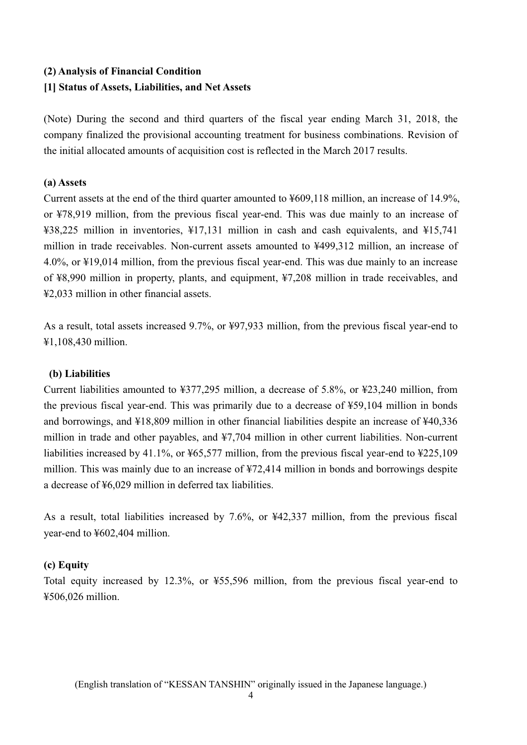# **(2) Analysis of Financial Condition**

## **[1] Status of Assets, Liabilities, and Net Assets**

(Note) During the second and third quarters of the fiscal year ending March 31, 2018, the company finalized the provisional accounting treatment for business combinations. Revision of the initial allocated amounts of acquisition cost is reflected in the March 2017 results.

## **(a) Assets**

Current assets at the end of the third quarter amounted to ¥609,118 million, an increase of 14.9%, or ¥78,919 million, from the previous fiscal year-end. This was due mainly to an increase of ¥38,225 million in inventories, ¥17,131 million in cash and cash equivalents, and ¥15,741 million in trade receivables. Non-current assets amounted to ¥499,312 million, an increase of 4.0%, or ¥19,014 million, from the previous fiscal year-end. This was due mainly to an increase of ¥8,990 million in property, plants, and equipment, ¥7,208 million in trade receivables, and ¥2,033 million in other financial assets.

As a result, total assets increased 9.7%, or ¥97,933 million, from the previous fiscal year-end to ¥1,108,430 million.

## **(b) Liabilities**

Current liabilities amounted to ¥377,295 million, a decrease of 5.8%, or ¥23,240 million, from the previous fiscal year-end. This was primarily due to a decrease of ¥59,104 million in bonds and borrowings, and ¥18,809 million in other financial liabilities despite an increase of ¥40,336 million in trade and other payables, and ¥7,704 million in other current liabilities. Non-current liabilities increased by 41.1%, or ¥65,577 million, from the previous fiscal year-end to ¥225,109 million. This was mainly due to an increase of ¥72,414 million in bonds and borrowings despite a decrease of ¥6,029 million in deferred tax liabilities.

As a result, total liabilities increased by 7.6%, or ¥42,337 million, from the previous fiscal year-end to ¥602,404 million.

## **(c) Equity**

Total equity increased by 12.3%, or ¥55,596 million, from the previous fiscal year-end to ¥506,026 million.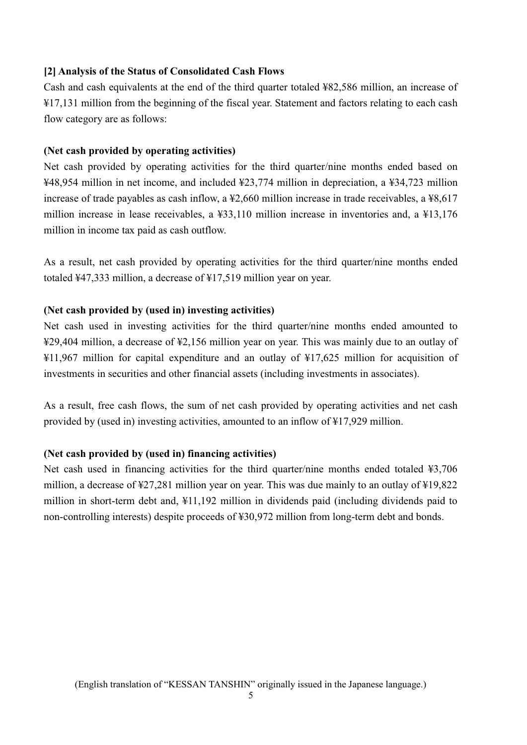#### **[2] Analysis of the Status of Consolidated Cash Flows**

Cash and cash equivalents at the end of the third quarter totaled  $482.586$  million, an increase of ¥17,131 million from the beginning of the fiscal year. Statement and factors relating to each cash flow category are as follows:

#### **(Net cash provided by operating activities)**

Net cash provided by operating activities for the third quarter/nine months ended based on ¥48,954 million in net income, and included ¥23,774 million in depreciation, a ¥34,723 million increase of trade payables as cash inflow, a ¥2,660 million increase in trade receivables, a ¥8,617 million increase in lease receivables, a ¥33,110 million increase in inventories and, a ¥13,176 million in income tax paid as cash outflow.

As a result, net cash provided by operating activities for the third quarter/nine months ended totaled  $\frac{1}{4}$  47,333 million, a decrease of  $\frac{1}{4}$  17,519 million year on year.

#### **(Net cash provided by (used in) investing activities)**

Net cash used in investing activities for the third quarter/nine months ended amounted to ¥29,404 million, a decrease of ¥2,156 million year on year. This was mainly due to an outlay of ¥11,967 million for capital expenditure and an outlay of ¥17,625 million for acquisition of investments in securities and other financial assets (including investments in associates).

As a result, free cash flows, the sum of net cash provided by operating activities and net cash provided by (used in) investing activities, amounted to an inflow of ¥17,929 million.

## **(Net cash provided by (used in) financing activities)**

Net cash used in financing activities for the third quarter/nine months ended totaled ¥3,706 million, a decrease of ¥27,281 million year on year. This was due mainly to an outlay of ¥19,822 million in short-term debt and, ¥11,192 million in dividends paid (including dividends paid to non-controlling interests) despite proceeds of ¥30,972 million from long-term debt and bonds.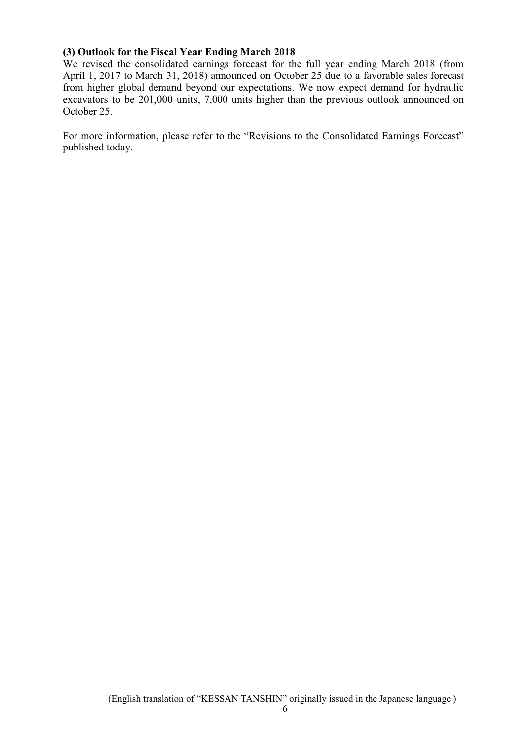#### **(3) Outlook for the Fiscal Year Ending March 2018**

We revised the consolidated earnings forecast for the full year ending March 2018 (from April 1, 2017 to March 31, 2018) announced on October 25 due to a favorable sales forecast from higher global demand beyond our expectations. We now expect demand for hydraulic excavators to be 201,000 units, 7,000 units higher than the previous outlook announced on October 25.

For more information, please refer to the "Revisions to the Consolidated Earnings Forecast" published today.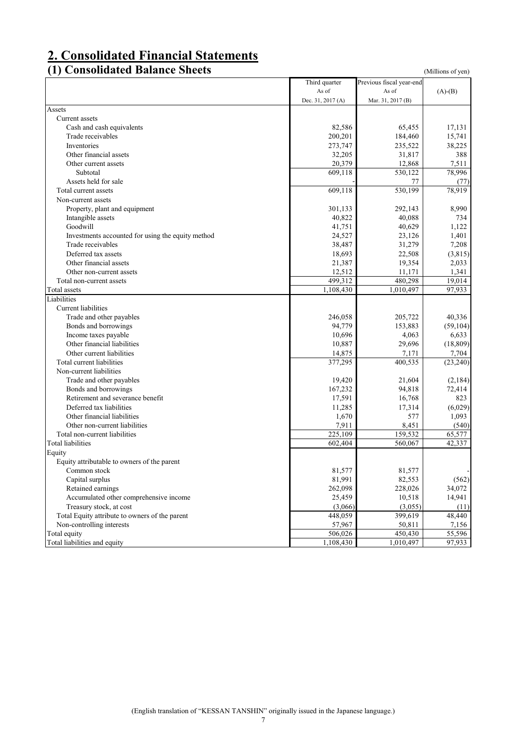# **2. Consolidated Financial Statements**

# **(1) Consolidated Balance Sheets** (Millions of yen)

|                                                   | Third quarter     | Previous fiscal year-end |                     |
|---------------------------------------------------|-------------------|--------------------------|---------------------|
|                                                   | As of             | As of                    | $(A)-(B)$           |
|                                                   | Dec. 31, 2017 (A) | Mar. 31, 2017 (B)        |                     |
| Assets                                            |                   |                          |                     |
| Current assets                                    |                   |                          |                     |
| Cash and cash equivalents                         | 82,586            | 65,455                   | 17,131              |
| Trade receivables                                 | 200,201           | 184,460                  | 15,741              |
| Inventories                                       | 273,747           | 235,522                  | 38,225              |
| Other financial assets                            | 32,205            | 31,817                   | 388                 |
| Other current assets                              | 20,379            | 12,868                   | 7,511               |
| Subtotal                                          | 609,118           | $\overline{530,122}$     | 78,996              |
| Assets held for sale                              |                   | 77                       | (77)                |
| Total current assets                              | 609,118           | 530,199                  | 78,919              |
| Non-current assets                                |                   |                          |                     |
| Property, plant and equipment                     | 301,133           | 292,143                  | 8,990               |
| Intangible assets                                 | 40,822            | 40,088                   | 734                 |
| Goodwill                                          | 41,751            | 40,629                   | 1,122               |
| Investments accounted for using the equity method | 24,527            | 23,126                   | 1,401               |
| Trade receivables                                 | 38,487            | 31,279                   | 7,208               |
| Deferred tax assets                               | 18,693            | 22,508                   | (3,815)             |
| Other financial assets                            | 21,387            | 19,354                   | 2,033               |
| Other non-current assets                          | 12,512            | 11,171                   | 1,341               |
| Total non-current assets                          | 499,312           | 480,298                  | 19,014              |
| Total assets                                      | 1,108,430         | 1,010,497                | 97,933              |
| Liabilities                                       |                   |                          |                     |
| <b>Current</b> liabilities                        |                   |                          |                     |
| Trade and other payables                          | 246,058           | 205,722                  | 40,336              |
| Bonds and borrowings                              | 94,779            | 153,883                  | (59, 104)           |
| Income taxes payable                              | 10,696            | 4,063                    | 6,633               |
| Other financial liabilities                       | 10,887            | 29,696                   | (18, 809)           |
| Other current liabilities                         | 14,875            | 7,171                    | 7,704               |
| Total current liabilities                         | 377,295           | 400,535                  | (23, 240)           |
| Non-current liabilities                           |                   |                          |                     |
| Trade and other payables                          | 19,420            | 21,604                   | (2,184)             |
| Bonds and borrowings                              | 167,232           | 94,818                   | 72,414              |
| Retirement and severance benefit                  | 17,591            | 16,768                   | 823                 |
| Deferred tax liabilities                          | 11,285            | 17,314                   | (6,029)             |
| Other financial liabilities                       | 1,670             | 577                      | 1,093               |
| Other non-current liabilities                     | 7,911             | 8,451                    | (540)               |
| Total non-current liabilities                     | 225,109           | 159,532                  | 65,577              |
| Total liabilities                                 | 602,404           | 560,067                  | 42,337              |
| Equity                                            |                   |                          |                     |
|                                                   |                   |                          |                     |
| Equity attributable to owners of the parent       | 81,577            | 81,577                   |                     |
| Common stock<br>Capital surplus                   |                   |                          | (562)               |
|                                                   | 81,991            | 82,553                   |                     |
| Retained earnings                                 | 262,098           | 228,026                  | 34,072              |
| Accumulated other comprehensive income            | 25,459            | 10,518                   | 14,941              |
| Treasury stock, at cost                           | (3,066)           | (3,055)                  | (11)                |
| Total Equity attribute to owners of the parent    | 448,059           | 399,619                  | 48,440              |
| Non-controlling interests                         | 57,967            | 50,811                   | 7,156               |
| Total equity                                      | 506,026           | 450,430                  | $\overline{55,596}$ |
| Total liabilities and equity                      | 1,108,430         | 1,010,497                | 97,933              |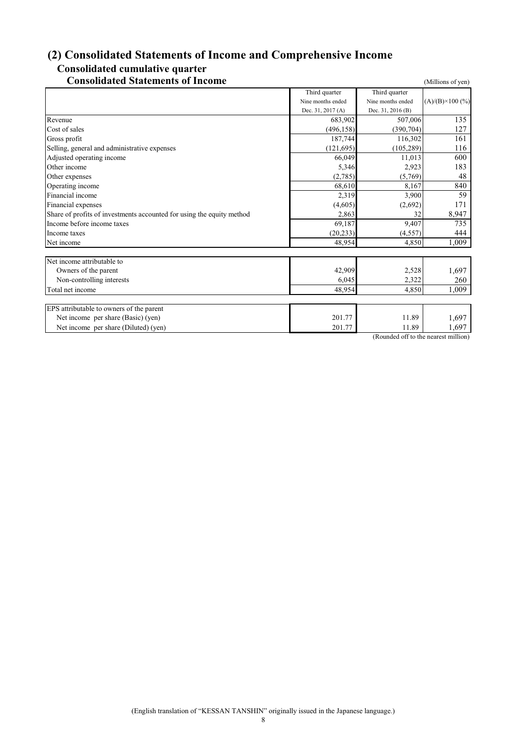# **(2) Consolidated Statements of Income and Comprehensive Income Consolidated cumulative quarter**

## **Consolidated Statements of Income** (Millions of yen)

|                                                                       | Third quarter     | Third quarter                        |                          |
|-----------------------------------------------------------------------|-------------------|--------------------------------------|--------------------------|
|                                                                       | Nine months ended | Nine months ended                    | $(A)/(B) \times 100$ (%) |
|                                                                       | Dec. 31, 2017 (A) | Dec. 31, 2016 (B)                    |                          |
| Revenue                                                               | 683,902           | 507,006                              | 135                      |
| Cost of sales                                                         | (496, 158)        | (390, 704)                           | 127                      |
| Gross profit                                                          | 187,744           | 116,302                              | 161                      |
| Selling, general and administrative expenses                          | (121, 695)        | (105, 289)                           | 116                      |
| Adjusted operating income                                             | 66,049            | 11,013                               | 600                      |
| Other income                                                          | 5,346             | 2,923                                | 183                      |
| Other expenses                                                        | (2,785)           | (5,769)                              | 48                       |
| Operating income                                                      | 68,610            | 8,167                                | 840                      |
| Financial income                                                      | 2,319             | 3,900                                | 59                       |
| Financial expenses                                                    | (4,605)           | (2,692)                              | 171                      |
| Share of profits of investments accounted for using the equity method | 2,863             | 32                                   | 8,947                    |
| Income before income taxes                                            | 69,187            | 9.407                                | 735                      |
| Income taxes                                                          | (20, 233)         | (4, 557)                             | 444                      |
| Net income                                                            | 48,954            | 4,850                                | 1,009                    |
|                                                                       |                   |                                      |                          |
| Net income attributable to                                            |                   |                                      |                          |
| Owners of the parent                                                  | 42,909            | 2,528                                | 1,697                    |
| Non-controlling interests                                             | 6,045             | 2,322                                | 260                      |
| Total net income                                                      | 48.954            | 4,850                                | 1,009                    |
|                                                                       |                   |                                      |                          |
| EPS attributable to owners of the parent                              |                   |                                      |                          |
| Net income per share (Basic) (yen)                                    | 201.77            | 11.89                                | 1,697                    |
| Net income per share (Diluted) (yen)                                  | 201.77            | 11.89                                | 1,697                    |
|                                                                       |                   | (Rounded off to the nearest million) |                          |

(Rounded off to the nearest mil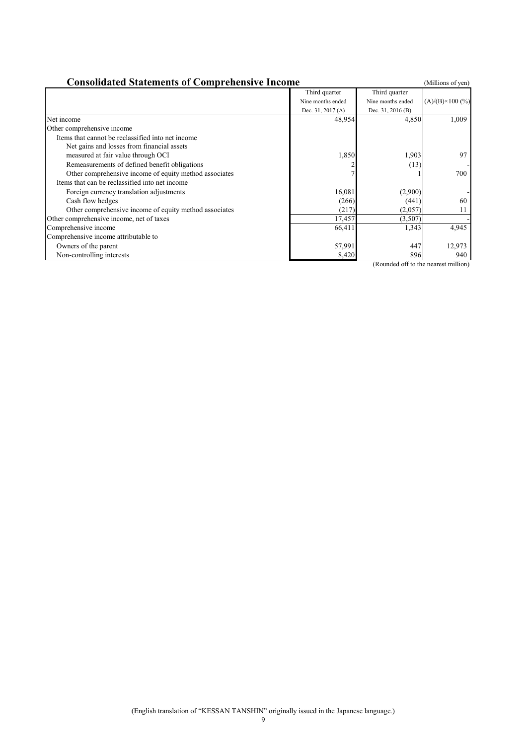| <b>Consolidated Statements of Comprehensive Income</b><br>(Millions of yen) |                   |                   |                          |  |
|-----------------------------------------------------------------------------|-------------------|-------------------|--------------------------|--|
|                                                                             | Third quarter     | Third quarter     |                          |  |
|                                                                             | Nine months ended | Nine months ended | $(A)/(B) \times 100$ (%) |  |
|                                                                             | Dec. 31, 2017 (A) | Dec. 31, 2016 (B) |                          |  |
| Net income                                                                  | 48,954            | 4,850             | 1,009                    |  |
| Other comprehensive income                                                  |                   |                   |                          |  |
| Items that cannot be reclassified into net income                           |                   |                   |                          |  |
| Net gains and losses from financial assets                                  |                   |                   |                          |  |
| measured at fair value through OCI                                          | 1,850             | 1,903             | 97                       |  |
| Remeasurements of defined benefit obligations                               |                   | (13)              |                          |  |
| Other comprehensive income of equity method associates                      |                   |                   | 700                      |  |
| Items that can be reclassified into net income                              |                   |                   |                          |  |
| Foreign currency translation adjustments                                    | 16,081            | (2,900)           |                          |  |
| Cash flow hedges                                                            | (266)             | (441)             | 60                       |  |
| Other comprehensive income of equity method associates                      | (217)             | (2,057)           | 11                       |  |
| Other comprehensive income, net of taxes                                    | 17,457            | (3,507)           |                          |  |
| Comprehensive income                                                        | 66,411            | 1,343             | 4,945                    |  |
| Comprehensive income attributable to                                        |                   |                   |                          |  |
| Owners of the parent                                                        | 57,991            | 447               | 12,973                   |  |
| Non-controlling interests                                                   | 8,420             | 896               | 940                      |  |

(Rounded off to the nearest million)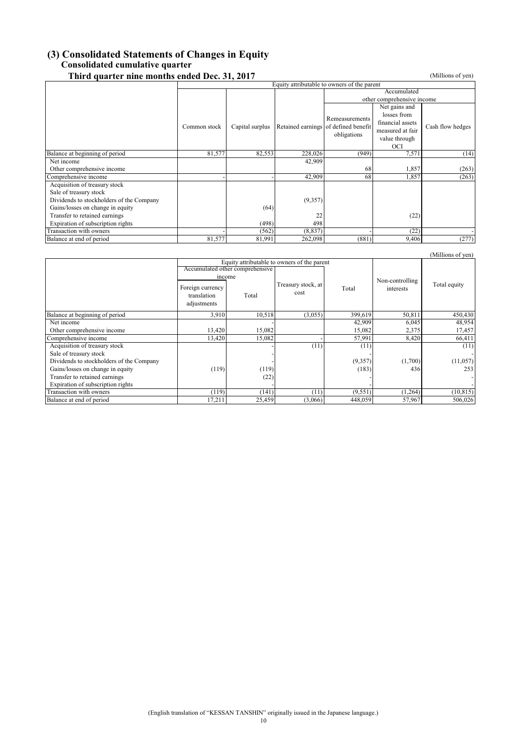## **(3) Consolidated Statements of Changes in Equity Consolidated cumulative quarter**

| Third quarter nine months ended Dec. 31, 2017 |                                             |                 |                                      |                |                            | (Millions of yen) |
|-----------------------------------------------|---------------------------------------------|-----------------|--------------------------------------|----------------|----------------------------|-------------------|
|                                               | Equity attributable to owners of the parent |                 |                                      |                |                            |                   |
|                                               |                                             | Accumulated     |                                      |                |                            |                   |
|                                               |                                             |                 |                                      |                | other comprehensive income |                   |
|                                               |                                             |                 |                                      |                | Net gains and              |                   |
|                                               |                                             |                 |                                      | Remeasurements | losses from                |                   |
|                                               | Common stock                                | Capital surplus | Retained earnings of defined benefit |                | financial assets           | Cash flow hedges  |
|                                               |                                             |                 |                                      |                | measured at fair           |                   |
|                                               |                                             |                 |                                      | obligations    | value through              |                   |
|                                               |                                             |                 |                                      |                | OCI                        |                   |
| Balance at beginning of period                | 81,577                                      | 82,553          | 228,026                              | (949)          | 7,571                      | (14)              |
| Net income                                    |                                             |                 | 42,909                               |                |                            |                   |
| Other comprehensive income                    |                                             |                 |                                      | 68             | 1,857                      | (263)             |
| Comprehensive income                          |                                             |                 | 42,909                               | 68             | 1,857                      | (263)             |
| Acquisition of treasury stock                 |                                             |                 |                                      |                |                            |                   |
| Sale of treasury stock                        |                                             |                 |                                      |                |                            |                   |
| Dividends to stockholders of the Company      |                                             |                 | (9,357)                              |                |                            |                   |
| Gains/losses on change in equity              |                                             | (64)            |                                      |                |                            |                   |
| Transfer to retained earnings                 |                                             |                 | 22                                   |                | (22)                       |                   |
| Expiration of subscription rights             |                                             | (498)           | 498                                  |                |                            |                   |
| Transaction with owners                       |                                             | (562)           | (8, 837)                             |                | (22)                       |                   |
| Balance at end of period                      | 81,577                                      | 81,991          | 262,098                              | (881)          | 9,406                      | (277)             |

|                                          |                                                          |                                                                                |                            |          |                              | (Millions of yen) |
|------------------------------------------|----------------------------------------------------------|--------------------------------------------------------------------------------|----------------------------|----------|------------------------------|-------------------|
|                                          |                                                          | Equity attributable to owners of the parent<br>Accumulated other comprehensive |                            |          |                              |                   |
|                                          | income<br>Foreign currency<br>translation<br>adjustments | Total                                                                          | Treasury stock, at<br>cost | Total    | Non-controlling<br>interests | Total equity      |
| Balance at beginning of period           | 3,910                                                    | 10,518                                                                         | (3,055)                    | 399,619  | 50,811                       | 450,430           |
| Net income                               |                                                          |                                                                                |                            | 42,909   | 6,045                        | 48,954            |
| Other comprehensive income               | 13,420                                                   | 15,082                                                                         |                            | 15,082   | 2,375                        | 17,457            |
| Comprehensive income                     | 13,420                                                   | 15,082                                                                         |                            | 57,991   | 8,420                        | 66,411            |
| Acquisition of treasury stock            |                                                          |                                                                                | (11)                       | (11)     |                              | (11)              |
| Sale of treasury stock                   |                                                          |                                                                                |                            |          |                              |                   |
| Dividends to stockholders of the Company |                                                          |                                                                                |                            | (9,357)  | (1,700)                      | (11,057)          |
| Gains/losses on change in equity         | (119)                                                    | (119)                                                                          |                            | (183)    | 436                          | 253               |
| Transfer to retained earnings            |                                                          | (22)                                                                           |                            |          |                              |                   |
| Expiration of subscription rights        |                                                          |                                                                                |                            |          |                              |                   |
| Transaction with owners                  | (119)                                                    | (141)                                                                          | (11)                       | (9, 551) | (1,264)                      | (10, 815)         |
| Balance at end of period                 | 17,211                                                   | 25,459                                                                         | (3,066)                    | 448,059  | 57,967                       | 506,026           |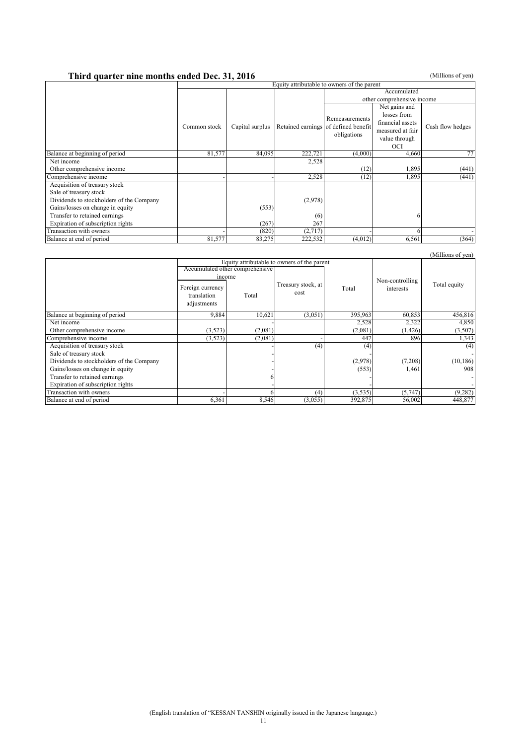# **Third quarter nine months ended Dec. 31, 2016** (Millions of yen)

|                                          |              | Equity attributable to owners of the parent |                                      |                |                            |                  |
|------------------------------------------|--------------|---------------------------------------------|--------------------------------------|----------------|----------------------------|------------------|
|                                          |              |                                             |                                      | Accumulated    |                            |                  |
|                                          |              |                                             |                                      |                | other comprehensive income |                  |
|                                          |              |                                             |                                      |                | Net gains and              |                  |
|                                          |              |                                             |                                      | Remeasurements | losses from                |                  |
|                                          |              |                                             |                                      |                | financial assets           |                  |
|                                          | Common stock | Capital surplus                             | Retained earnings of defined benefit |                | measured at fair           | Cash flow hedges |
|                                          |              |                                             |                                      | obligations    | value through              |                  |
|                                          |              |                                             |                                      |                | <b>OCI</b>                 |                  |
| Balance at beginning of period           | 81,577       | 84,095                                      | 222,721                              | (4,000)        | 4,660                      | 77               |
| Net income                               |              |                                             | 2,528                                |                |                            |                  |
| Other comprehensive income               |              |                                             |                                      | (12)           | 1,895                      | (441)            |
| Comprehensive income                     |              |                                             | 2,528                                | (12)           | 1,895                      | (441)            |
| Acquisition of treasury stock            |              |                                             |                                      |                |                            |                  |
| Sale of treasury stock                   |              |                                             |                                      |                |                            |                  |
| Dividends to stockholders of the Company |              |                                             | (2,978)                              |                |                            |                  |
| Gains/losses on change in equity         |              | (553)                                       |                                      |                |                            |                  |
| Transfer to retained earnings            |              |                                             | (6)                                  |                |                            |                  |
| Expiration of subscription rights        |              | (267)                                       | 267                                  |                |                            |                  |
| Transaction with owners                  |              | (820)                                       | (2,717)                              |                |                            |                  |
| Balance at end of period                 | 81,577       | 83,275                                      | 222,532                              | (4,012)        | 6,561                      | (364)            |

|                                          |                                                |         |                                             |         |                              | (Millions of yen) |
|------------------------------------------|------------------------------------------------|---------|---------------------------------------------|---------|------------------------------|-------------------|
|                                          |                                                |         | Equity attributable to owners of the parent |         |                              |                   |
|                                          | Accumulated other comprehensive                |         |                                             |         |                              |                   |
|                                          | income                                         |         |                                             |         |                              |                   |
|                                          | Foreign currency<br>translation<br>adjustments | Total   | Treasury stock, at<br>cost                  | Total   | Non-controlling<br>interests | Total equity      |
| Balance at beginning of period           | 9,884                                          | 10,621  | (3,051)                                     | 395,963 | 60,853                       | 456,816           |
| Net income                               |                                                |         |                                             | 2,528   | 2,322                        | 4,850             |
| Other comprehensive income               | (3,523)                                        | (2,081) |                                             | (2,081) | (1,426)                      | (3,507)           |
| Comprehensive income                     | (3,523)                                        | (2,081) |                                             | 447     | 896                          | 1,343             |
| Acquisition of treasury stock            |                                                |         | (4)                                         | (4)     |                              | (4)               |
| Sale of treasury stock                   |                                                |         |                                             |         |                              |                   |
| Dividends to stockholders of the Company |                                                |         |                                             | (2,978) | (7,208)                      | (10, 186)         |
| Gains/losses on change in equity         |                                                |         |                                             | (553)   | 1,461                        | 908               |
| Transfer to retained earnings            |                                                |         |                                             |         |                              |                   |
| Expiration of subscription rights        |                                                |         |                                             |         |                              |                   |
| Transaction with owners                  |                                                |         | (4)                                         | (3,535) | (5, 747)                     | (9, 282)          |
| Balance at end of period                 | 6,361                                          | 8,546   | (3,055)                                     | 392,875 | 56,002                       | 448,877           |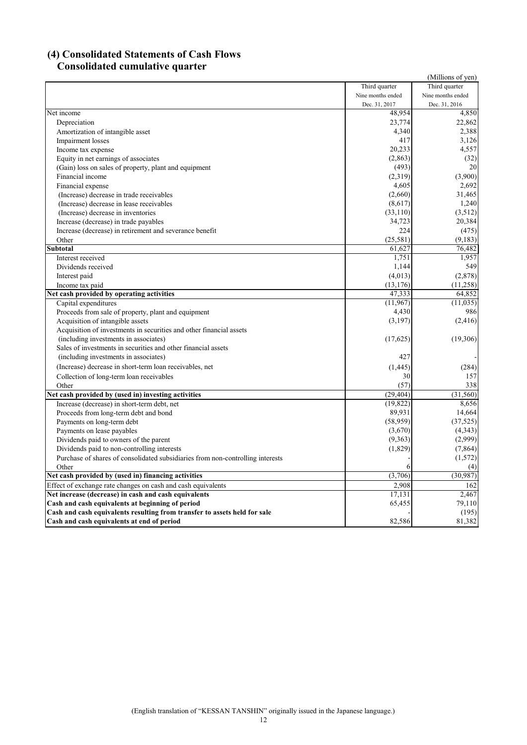#### **(4) Consolidated Statements of Cash Flows Consolidated cumulative quarter**

| onsonuatea cumunative                                                          |                   | (Millions of yen) |
|--------------------------------------------------------------------------------|-------------------|-------------------|
|                                                                                | Third quarter     | Third quarter     |
|                                                                                | Nine months ended | Nine months ended |
|                                                                                | Dec. 31, 2017     | Dec. 31, 2016     |
| Net income                                                                     | 48,954            | 4,850             |
| Depreciation                                                                   | 23,774            | 22,862            |
| Amortization of intangible asset                                               | 4,340             | 2,388             |
| Impairment losses                                                              | 417               | 3,126             |
| Income tax expense                                                             | 20,233            | 4,557             |
| Equity in net earnings of associates                                           | (2,863)           | (32)              |
| (Gain) loss on sales of property, plant and equipment                          | (493)             | 20                |
| Financial income                                                               | (2,319)           | (3,900)           |
| Financial expense                                                              | 4,605             | 2,692             |
| (Increase) decrease in trade receivables                                       | (2,660)           | 31,465            |
| (Increase) decrease in lease receivables                                       | (8,617)           | 1,240             |
| (Increase) decrease in inventories                                             | (33,110)          | (3,512)           |
| Increase (decrease) in trade payables                                          | 34,723            | 20,384            |
| Increase (decrease) in retirement and severance benefit                        | 224               | (475)             |
| Other                                                                          | (25,581)          | (9,183)           |
| <b>Subtotal</b>                                                                | 61,627            | 76,482            |
| Interest received                                                              | 1,751             | 1,957             |
| Dividends received                                                             | 1,144             | 549               |
| Interest paid                                                                  | (4,013)           | (2,878)           |
| Income tax paid                                                                | (13, 176)         | (11,258)          |
| Net cash provided by operating activities                                      | 47.333            | 64.852            |
| Capital expenditures                                                           | (11,967)          | (11, 035)         |
| Proceeds from sale of property, plant and equipment                            | 4,430             | 986               |
| Acquisition of intangible assets                                               | (3,197)           | (2, 416)          |
| Acquisition of investments in securities and other financial assets            |                   |                   |
| (including investments in associates)                                          | (17,625)          | (19,306)          |
| Sales of investments in securities and other financial assets                  |                   |                   |
| (including investments in associates)                                          | 427               |                   |
| (Increase) decrease in short-term loan receivables, net                        | (1, 445)          | (284)             |
| Collection of long-term loan receivables                                       | 30                | 157               |
| Other                                                                          | (57)              | 338               |
| Net cash provided by (used in) investing activities                            | (29, 404)         | (31, 560)         |
| Increase (decrease) in short-term debt, net                                    | (19, 822)         | 8,656             |
| Proceeds from long-term debt and bond                                          | 89,931            | 14,664            |
| Payments on long-term debt                                                     | (58,959)          | (37, 525)         |
| Payments on lease payables                                                     | (3,670)           | (4,343)           |
| Dividends paid to owners of the parent                                         | (9,363)           | (2,999)           |
| Dividends paid to non-controlling interests                                    | (1, 829)          | (7,864)           |
| Purchase of shares of consolidated subsidiaries from non-controlling interests |                   | (1,572)           |
| Other                                                                          |                   | (4)               |
| Net cash provided by (used in) financing activities                            | (3,706)           | (30, 987)         |
| Effect of exchange rate changes on cash and cash equivalents                   | 2.908             | 162               |
| Net increase (decrease) in cash and cash equivalents                           | 17,131            | 2,467             |
| Cash and cash equivalents at beginning of period                               | 65,455            | 79,110            |
| Cash and cash equivalents resulting from transfer to assets held for sale      |                   | (195)             |
| Cash and cash equivalents at end of period                                     | 82,586            | 81,382            |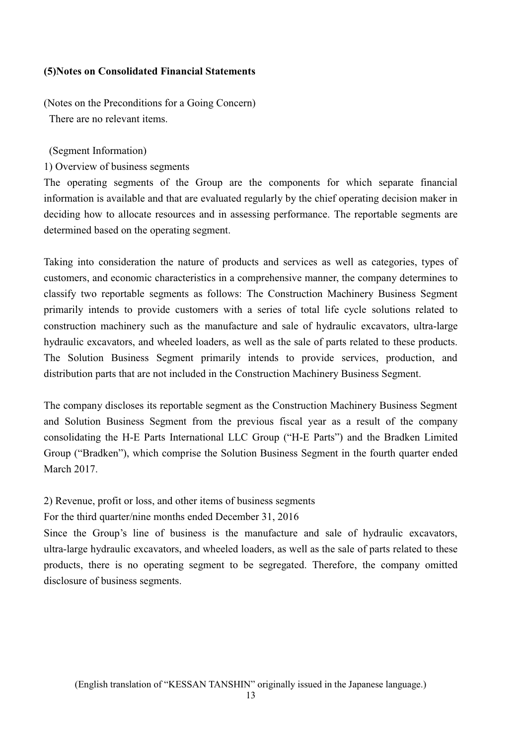#### **(5)Notes on Consolidated Financial Statements**

(Notes on the Preconditions for a Going Concern) There are no relevant items.

(Segment Information)

1) Overview of business segments

The operating segments of the Group are the components for which separate financial information is available and that are evaluated regularly by the chief operating decision maker in deciding how to allocate resources and in assessing performance. The reportable segments are determined based on the operating segment.

Taking into consideration the nature of products and services as well as categories, types of customers, and economic characteristics in a comprehensive manner, the company determines to classify two reportable segments as follows: The Construction Machinery Business Segment primarily intends to provide customers with a series of total life cycle solutions related to construction machinery such as the manufacture and sale of hydraulic excavators, ultra-large hydraulic excavators, and wheeled loaders, as well as the sale of parts related to these products. The Solution Business Segment primarily intends to provide services, production, and distribution parts that are not included in the Construction Machinery Business Segment.

The company discloses its reportable segment as the Construction Machinery Business Segment and Solution Business Segment from the previous fiscal year as a result of the company consolidating the H-E Parts International LLC Group ("H-E Parts") and the Bradken Limited Group ("Bradken"), which comprise the Solution Business Segment in the fourth quarter ended March 2017.

2) Revenue, profit or loss, and other items of business segments

For the third quarter/nine months ended December 31, 2016

Since the Group's line of business is the manufacture and sale of hydraulic excavators, ultra-large hydraulic excavators, and wheeled loaders, as well as the sale of parts related to these products, there is no operating segment to be segregated. Therefore, the company omitted disclosure of business segments.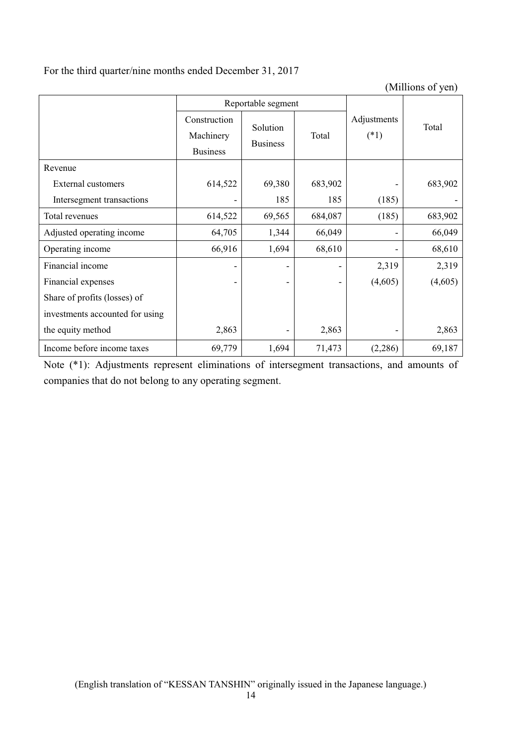# For the third quarter/nine months ended December 31, 2017

(Millions of yen)

|                                 |                                              | Reportable segment          |         |                       |         |
|---------------------------------|----------------------------------------------|-----------------------------|---------|-----------------------|---------|
|                                 | Construction<br>Machinery<br><b>Business</b> | Solution<br><b>Business</b> | Total   | Adjustments<br>$(*1)$ | Total   |
| Revenue                         |                                              |                             |         |                       |         |
| External customers              | 614,522                                      | 69,380                      | 683,902 |                       | 683,902 |
| Intersegment transactions       |                                              | 185                         | 185     | (185)                 |         |
| Total revenues                  | 614,522                                      | 69,565                      | 684,087 | (185)                 | 683,902 |
| Adjusted operating income       | 64,705                                       | 1,344                       | 66,049  |                       | 66,049  |
| Operating income                | 66,916                                       | 1,694                       | 68,610  |                       | 68,610  |
| Financial income                |                                              |                             |         | 2,319                 | 2,319   |
| Financial expenses              |                                              |                             |         | (4,605)               | (4,605) |
| Share of profits (losses) of    |                                              |                             |         |                       |         |
| investments accounted for using |                                              |                             |         |                       |         |
| the equity method               | 2,863                                        |                             | 2,863   |                       | 2,863   |
| Income before income taxes      | 69,779                                       | 1,694                       | 71,473  | (2,286)               | 69,187  |

Note (\*1): Adjustments represent eliminations of intersegment transactions, and amounts of companies that do not belong to any operating segment.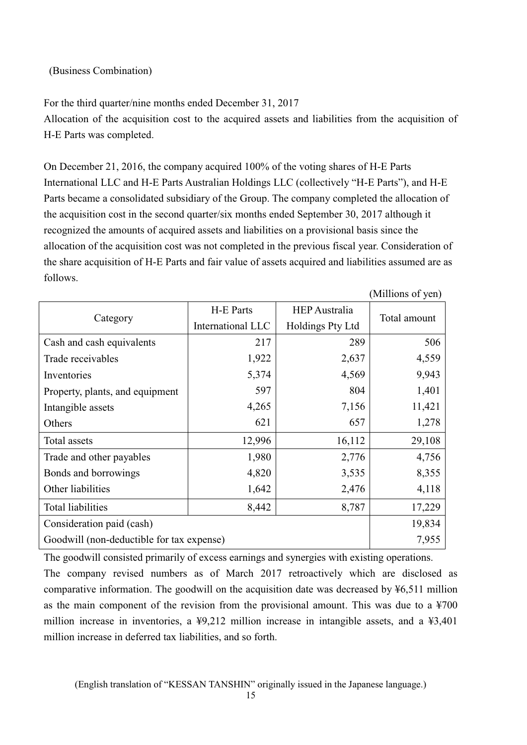### (Business Combination)

For the third quarter/nine months ended December 31, 2017 Allocation of the acquisition cost to the acquired assets and liabilities from the acquisition of H-E Parts was completed.

On December 21, 2016, the company acquired 100% of the voting shares of H-E Parts International LLC and H-E Parts Australian Holdings LLC (collectively "H-E Parts"), and H-E Parts became a consolidated subsidiary of the Group. The company completed the allocation of the acquisition cost in the second quarter/six months ended September 30, 2017 although it recognized the amounts of acquired assets and liabilities on a provisional basis since the allocation of the acquisition cost was not completed in the previous fiscal year. Consideration of the share acquisition of H-E Parts and fair value of assets acquired and liabilities assumed are as follows.

|                                           |                   |                      | (Millions of yen) |
|-------------------------------------------|-------------------|----------------------|-------------------|
|                                           | H-E Parts         | <b>HEP</b> Australia | Total amount      |
| Category                                  | International LLC | Holdings Pty Ltd     |                   |
| Cash and cash equivalents                 | 217               | 289                  | 506               |
| Trade receivables                         | 1,922             | 2,637                | 4,559             |
| Inventories                               | 5,374             | 4,569                | 9,943             |
| Property, plants, and equipment           | 597               | 804                  | 1,401             |
| Intangible assets                         | 4,265             | 7,156                | 11,421            |
| Others                                    | 621               | 657                  | 1,278             |
| Total assets                              | 12,996            | 16,112               | 29,108            |
| Trade and other payables                  | 1,980             | 2,776                | 4,756             |
| Bonds and borrowings                      | 4,820             | 3,535                | 8,355             |
| Other liabilities                         | 1,642             | 2,476                | 4,118             |
| Total liabilities                         | 8,442             | 8,787                | 17,229            |
| Consideration paid (cash)                 | 19,834            |                      |                   |
| Goodwill (non-deductible for tax expense) | 7,955             |                      |                   |

The goodwill consisted primarily of excess earnings and synergies with existing operations.

The company revised numbers as of March 2017 retroactively which are disclosed as comparative information. The goodwill on the acquisition date was decreased by ¥6,511 million as the main component of the revision from the provisional amount. This was due to a ¥700 million increase in inventories, a ¥9,212 million increase in intangible assets, and a ¥3,401 million increase in deferred tax liabilities, and so forth.